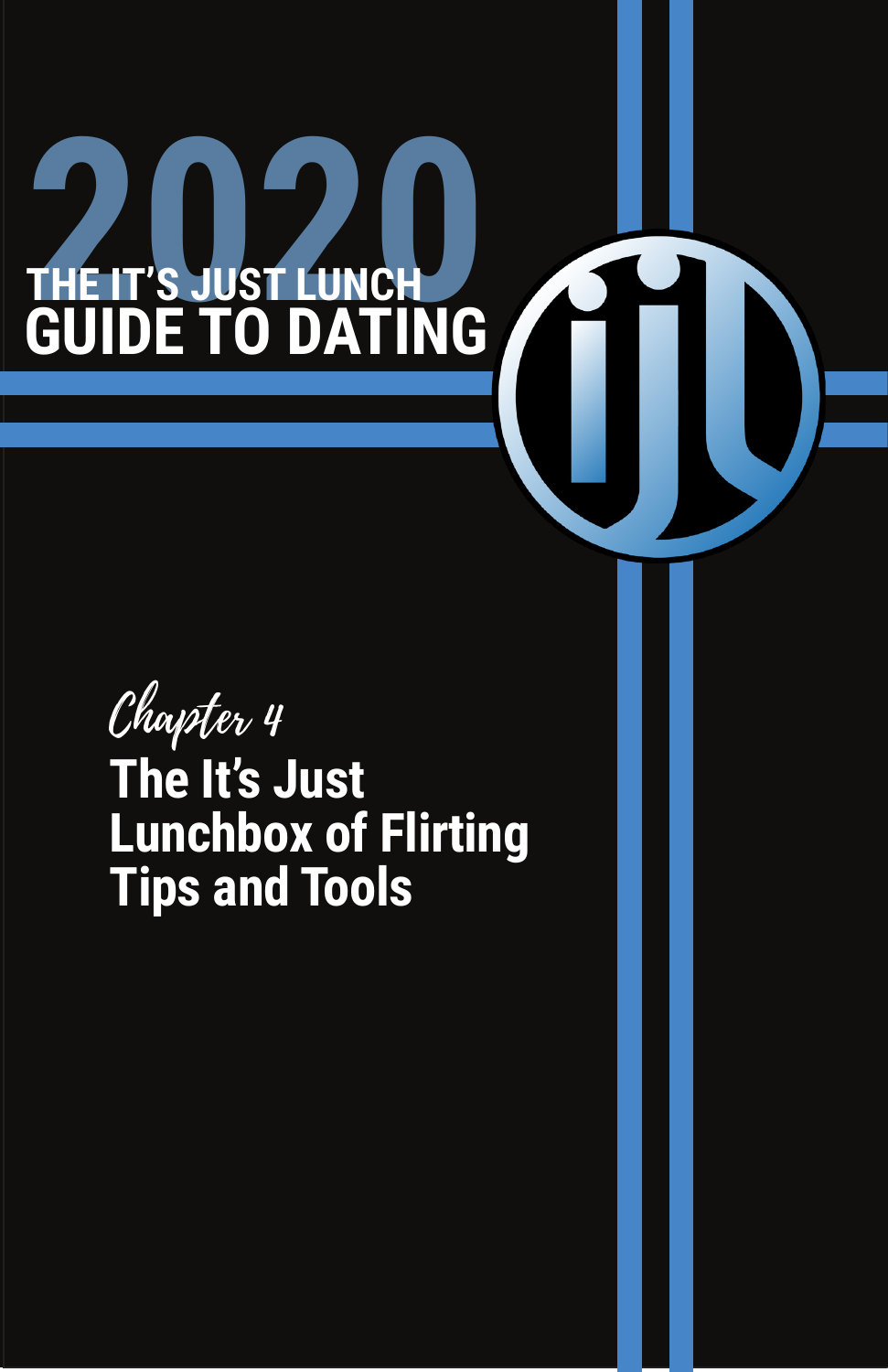# collar, professional, collegiate sports fans. The Scene: Lively, oft loud, and lots of cheering! Dress Code: Casual **THE IT'S JUST LUNCH OR OP AND THE IT'S JUST LUNCH AND FOOD ATTING AND FOOD ATTING AND FOOD ATTING AND FOOD AND FOOD ATTINGULAR FOOD AND FOOD AND FOOD AND FOOD AND FOOD AND FOOD AND FOOD AND FOOD AND FOOD AND FOOD AND FOOD AND FOOD AND FOOD A** plenty of microbreweries and pubs to choose from! If it's English **GUIDE TO DATING**

Who you'll find there: People of all ages who like sports - blue

style, expect fish and chips, shepherd's pie and plenty of good old-fashioned brews on the menu. If it's American, expect burgers, wings, and fries. At microbreweries, you'll find craft enthusiasts and an ever rotating schedule of food trucks.

Vibe: A hospitable crowd partaking in the "eat, drink and be merry" mentality that you'll find in any neighborhood pub

Who you'll find there: Locals, beer lovers, foodies

Dress Code: Casual. Chapter 4

**The It's Just** and with modern architectural angles, angles, angles, angles, angles, angles, angles, angles, angles, angles, angles, angles, angles, angles, angles, angles, angles, angles, angles, angles, angles, angles, plush velvet couches, plasma TVs and hardwood floors. **Lunchbox of Flirting The A-list crowd.** dancing next to well-connected nightlife connoisseurs and local Tips and Tools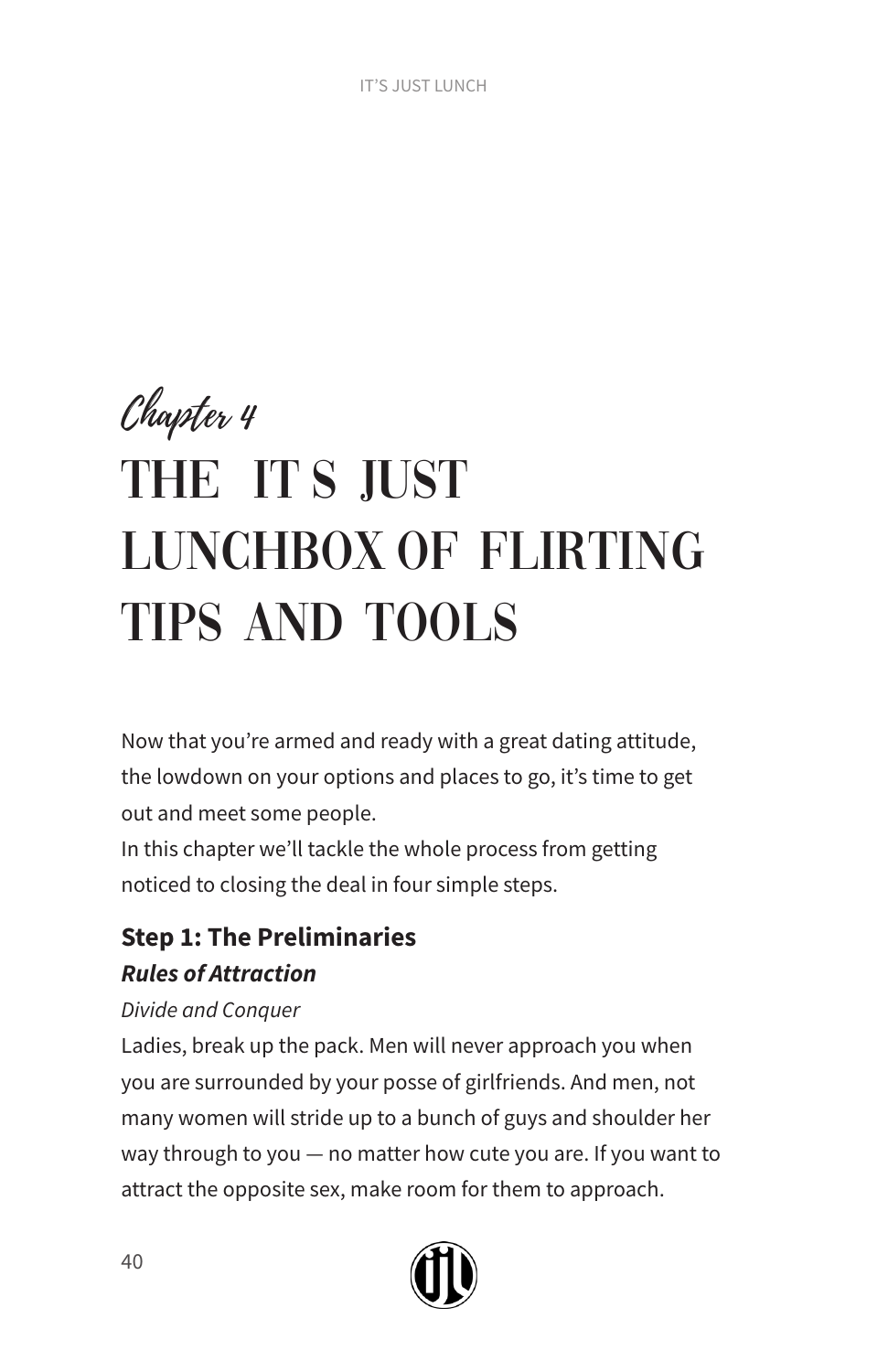# Chapter 4 THE ITS JUST LUNCHBOX OF FLIRTING Tips and Tools

Now that you're armed and ready with a great dating attitude, the lowdown on your options and places to go, it's time to get out and meet some people.

In this chapter we'll tackle the whole process from getting noticed to closing the deal in four simple steps.

# **Step 1: The Preliminaries** *Rules of Attraction*

### *Divide and Conquer*

Ladies, break up the pack. Men will never approach you when you are surrounded by your posse of girlfriends. And men, not many women will stride up to a bunch of guys and shoulder her way through to you — no matter how cute you are. If you want to attract the opposite sex, make room for them to approach.

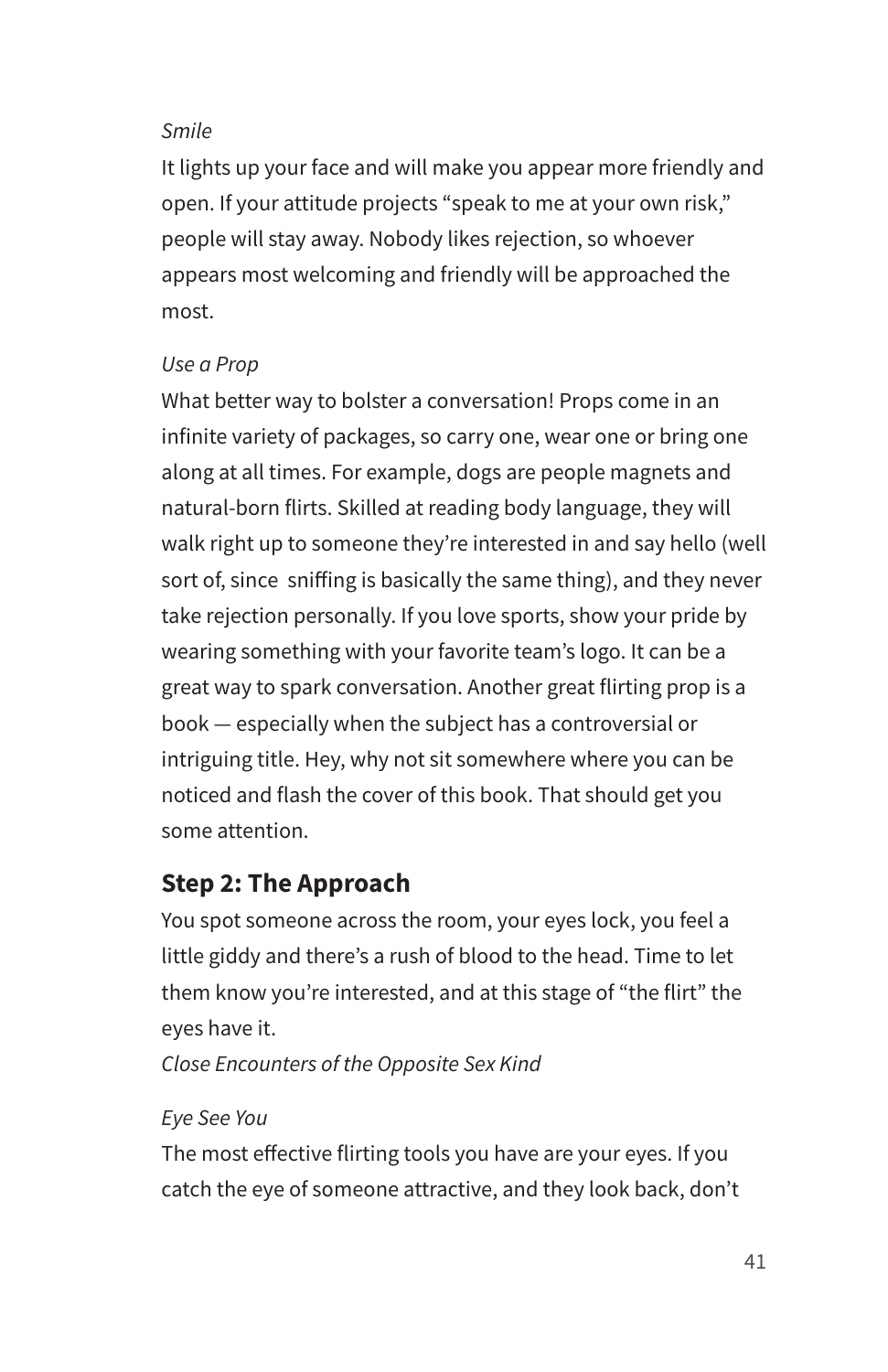### *Smile*

It lights up your face and will make you appear more friendly and open. If your attitude projects "speak to me at your own risk," people will stay away. Nobody likes rejection, so whoever appears most welcoming and friendly will be approached the most.

### *Use a Prop*

What better way to bolster a conversation! Props come in an infinite variety of packages, so carry one, wear one or bring one along at all times. For example, dogs are people magnets and natural-born flirts. Skilled at reading body language, they will walk right up to someone they're interested in and say hello (well sort of, since sniffing is basically the same thing), and they never take rejection personally. If you love sports, show your pride by wearing something with your favorite team's logo. It can be a great way to spark conversation. Another great flirting prop is a book — especially when the subject has a controversial or intriguing title. Hey, why not sit somewhere where you can be noticed and flash the cover of this book. That should get you some attention.

# **Step 2: The Approach**

You spot someone across the room, your eyes lock, you feel a little giddy and there's a rush of blood to the head. Time to let them know you're interested, and at this stage of "the flirt" the eyes have it.

*Close Encounters of the Opposite Sex Kind*

### *Eye See You*

The most effective flirting tools you have are your eyes. If you catch the eye of someone attractive, and they look back, don't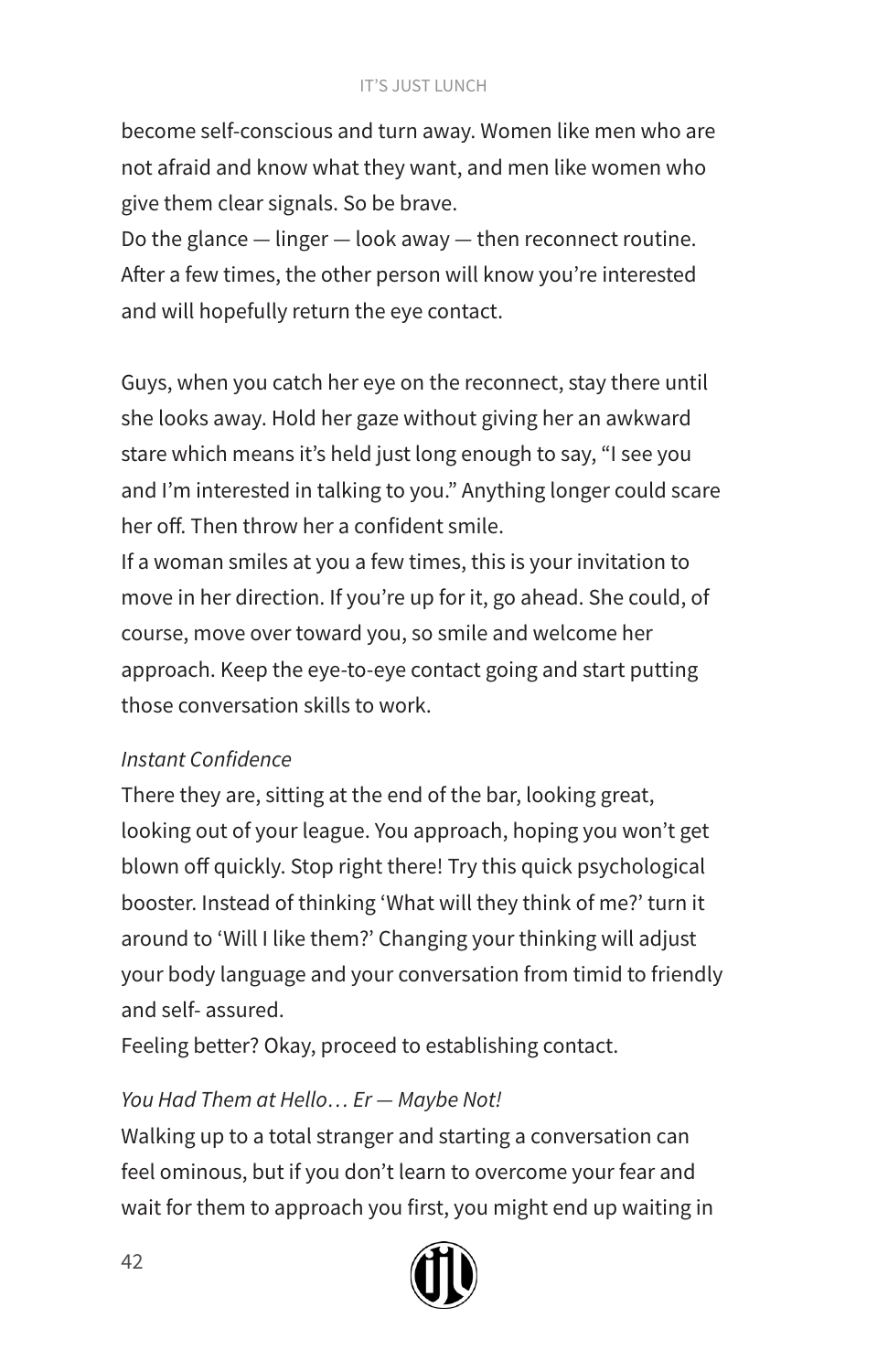become self-conscious and turn away. Women like men who are not afraid and know what they want, and men like women who give them clear signals. So be brave.

Do the glance  $-$  linger  $-$  look away  $-$  then reconnect routine. After a few times, the other person will know you're interested and will hopefully return the eye contact.

Guys, when you catch her eye on the reconnect, stay there until she looks away. Hold her gaze without giving her an awkward stare which means it's held just long enough to say, "I see you and I'm interested in talking to you." Anything longer could scare her off. Then throw her a confident smile.

If a woman smiles at you a few times, this is your invitation to move in her direction. If you're up for it, go ahead. She could, of course, move over toward you, so smile and welcome her approach. Keep the eye-to-eye contact going and start putting those conversation skills to work.

### *Instant Confidence*

There they are, sitting at the end of the bar, looking great, looking out of your league. You approach, hoping you won't get blown off quickly. Stop right there! Try this quick psychological booster. Instead of thinking 'What will they think of me?' turn it around to 'Will I like them?' Changing your thinking will adjust your body language and your conversation from timid to friendly and self- assured.

Feeling better? Okay, proceed to establishing contact.

### *You Had Them at Hello… Er — Maybe Not!*

Walking up to a total stranger and starting a conversation can feel ominous, but if you don't learn to overcome your fear and wait for them to approach you first, you might end up waiting in

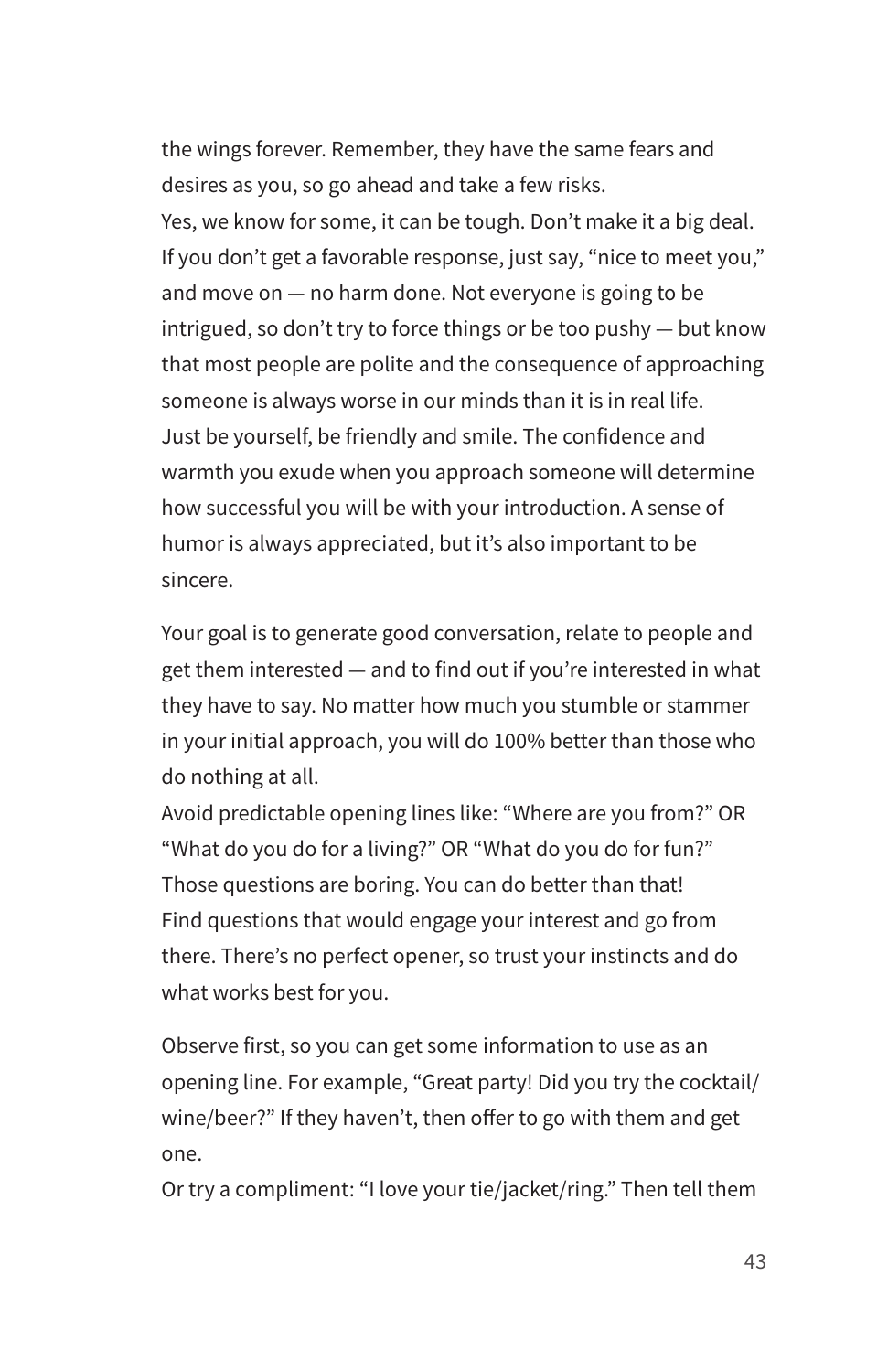the wings forever. Remember, they have the same fears and desires as you, so go ahead and take a few risks. Yes, we know for some, it can be tough. Don't make it a big deal. If you don't get a favorable response, just say, "nice to meet you," and move on — no harm done. Not everyone is going to be intrigued, so don't try to force things or be too pushy — but know that most people are polite and the consequence of approaching someone is always worse in our minds than it is in real life. Just be yourself, be friendly and smile. The confidence and warmth you exude when you approach someone will determine how successful you will be with your introduction. A sense of humor is always appreciated, but it's also important to be sincere.

Your goal is to generate good conversation, relate to people and get them interested — and to find out if you're interested in what they have to say. No matter how much you stumble or stammer in your initial approach, you will do 100% better than those who do nothing at all.

Avoid predictable opening lines like: "Where are you from?" OR "What do you do for a living?" OR "What do you do for fun?" Those questions are boring. You can do better than that! Find questions that would engage your interest and go from there. There's no perfect opener, so trust your instincts and do what works best for you.

Observe first, so you can get some information to use as an opening line. For example, "Great party! Did you try the cocktail/ wine/beer?" If they haven't, then offer to go with them and get one.

Or try a compliment: "I love your tie/jacket/ring." Then tell them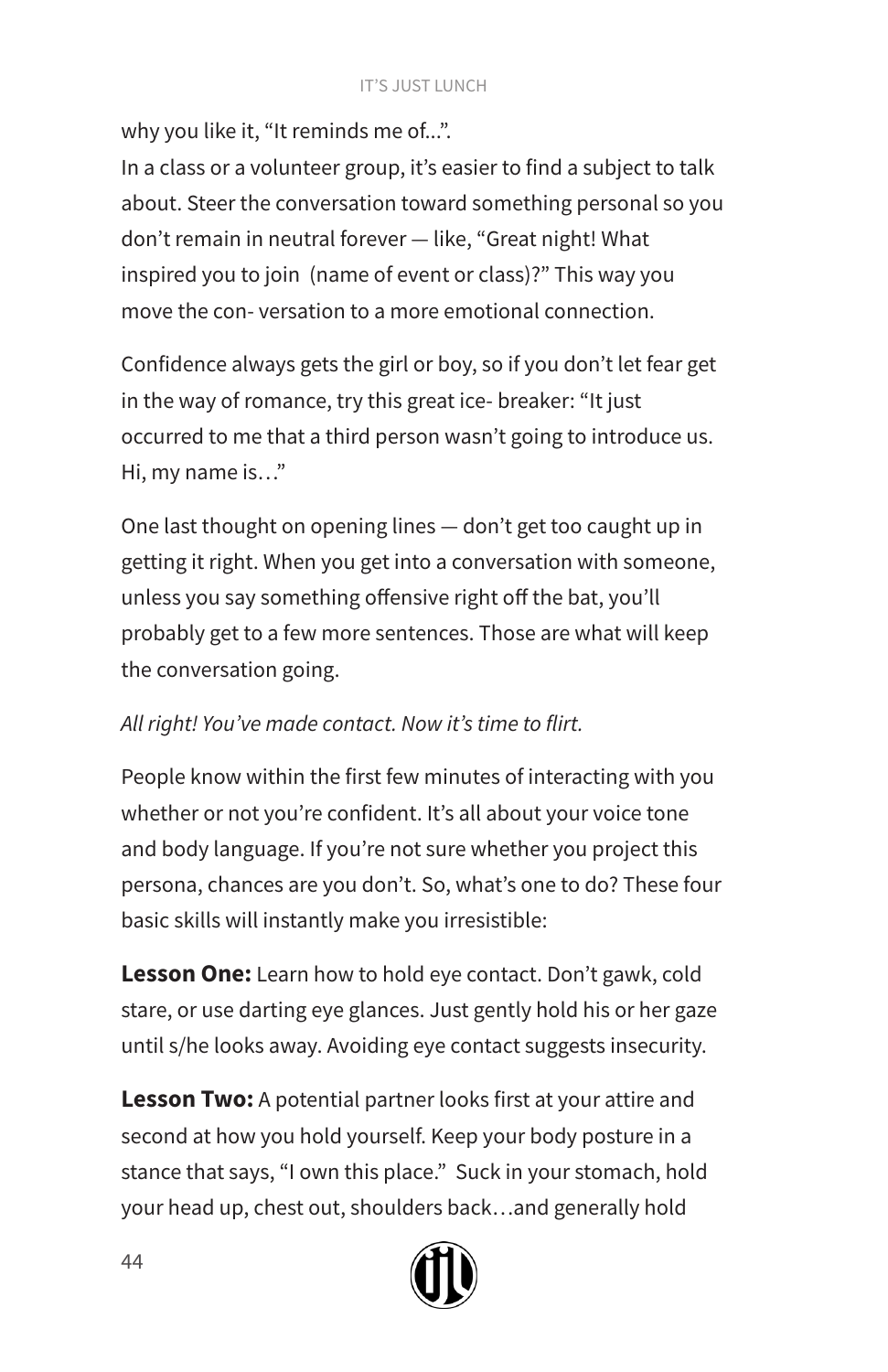why you like it, "It reminds me of...".

In a class or a volunteer group, it's easier to find a subject to talk about. Steer the conversation toward something personal so you don't remain in neutral forever — like, "Great night! What inspired you to join (name of event or class)?" This way you move the con- versation to a more emotional connection.

Confidence always gets the girl or boy, so if you don't let fear get in the way of romance, try this great ice- breaker: "It just occurred to me that a third person wasn't going to introduce us. Hi, my name is…"

One last thought on opening lines — don't get too caught up in getting it right. When you get into a conversation with someone, unless you say something offensive right off the bat, you'll probably get to a few more sentences. Those are what will keep the conversation going.

### *All right! You've made contact. Now it's time to flirt.*

People know within the first few minutes of interacting with you whether or not you're confident. It's all about your voice tone and body language. If you're not sure whether you project this persona, chances are you don't. So, what's one to do? These four basic skills will instantly make you irresistible:

**Lesson One:** Learn how to hold eye contact. Don't gawk, cold stare, or use darting eye glances. Just gently hold his or her gaze until s/he looks away. Avoiding eye contact suggests insecurity.

**Lesson Two:** A potential partner looks first at your attire and second at how you hold yourself. Keep your body posture in a stance that says, "I own this place." Suck in your stomach, hold your head up, chest out, shoulders back…and generally hold

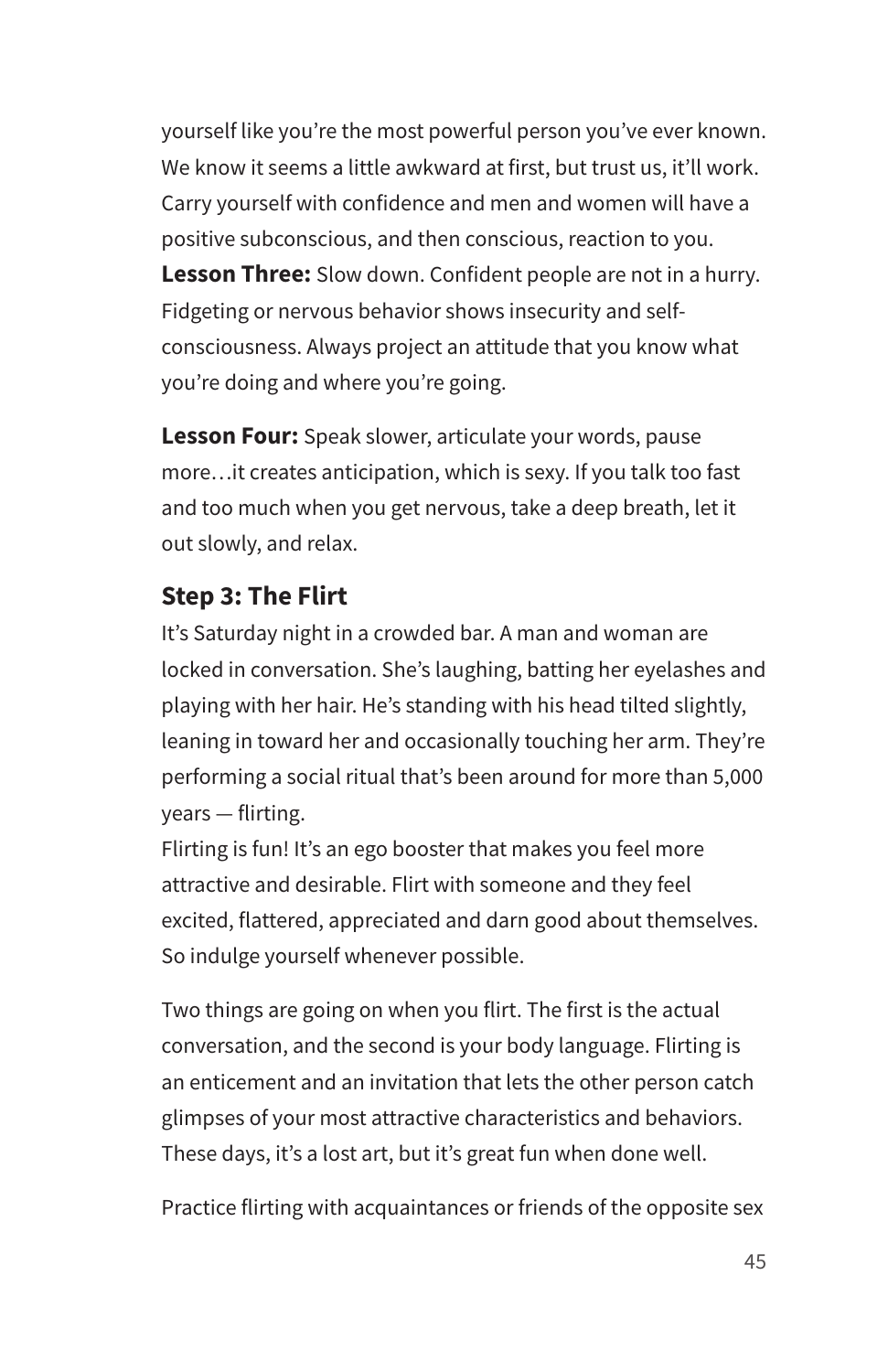yourself like you're the most powerful person you've ever known. We know it seems a little awkward at first, but trust us, it'll work. Carry yourself with confidence and men and women will have a positive subconscious, and then conscious, reaction to you. **Lesson Three:** Slow down. Confident people are not in a hurry. Fidgeting or nervous behavior shows insecurity and selfconsciousness. Always project an attitude that you know what you're doing and where you're going.

**Lesson Four:** Speak slower, articulate your words, pause more…it creates anticipation, which is sexy. If you talk too fast and too much when you get nervous, take a deep breath, let it out slowly, and relax.

### **Step 3: The Flirt**

It's Saturday night in a crowded bar. A man and woman are locked in conversation. She's laughing, batting her eyelashes and playing with her hair. He's standing with his head tilted slightly, leaning in toward her and occasionally touching her arm. They're performing a social ritual that's been around for more than 5,000 years — flirting.

Flirting is fun! It's an ego booster that makes you feel more attractive and desirable. Flirt with someone and they feel excited, flattered, appreciated and darn good about themselves. So indulge yourself whenever possible.

Two things are going on when you flirt. The first is the actual conversation, and the second is your body language. Flirting is an enticement and an invitation that lets the other person catch glimpses of your most attractive characteristics and behaviors. These days, it's a lost art, but it's great fun when done well.

Practice flirting with acquaintances or friends of the opposite sex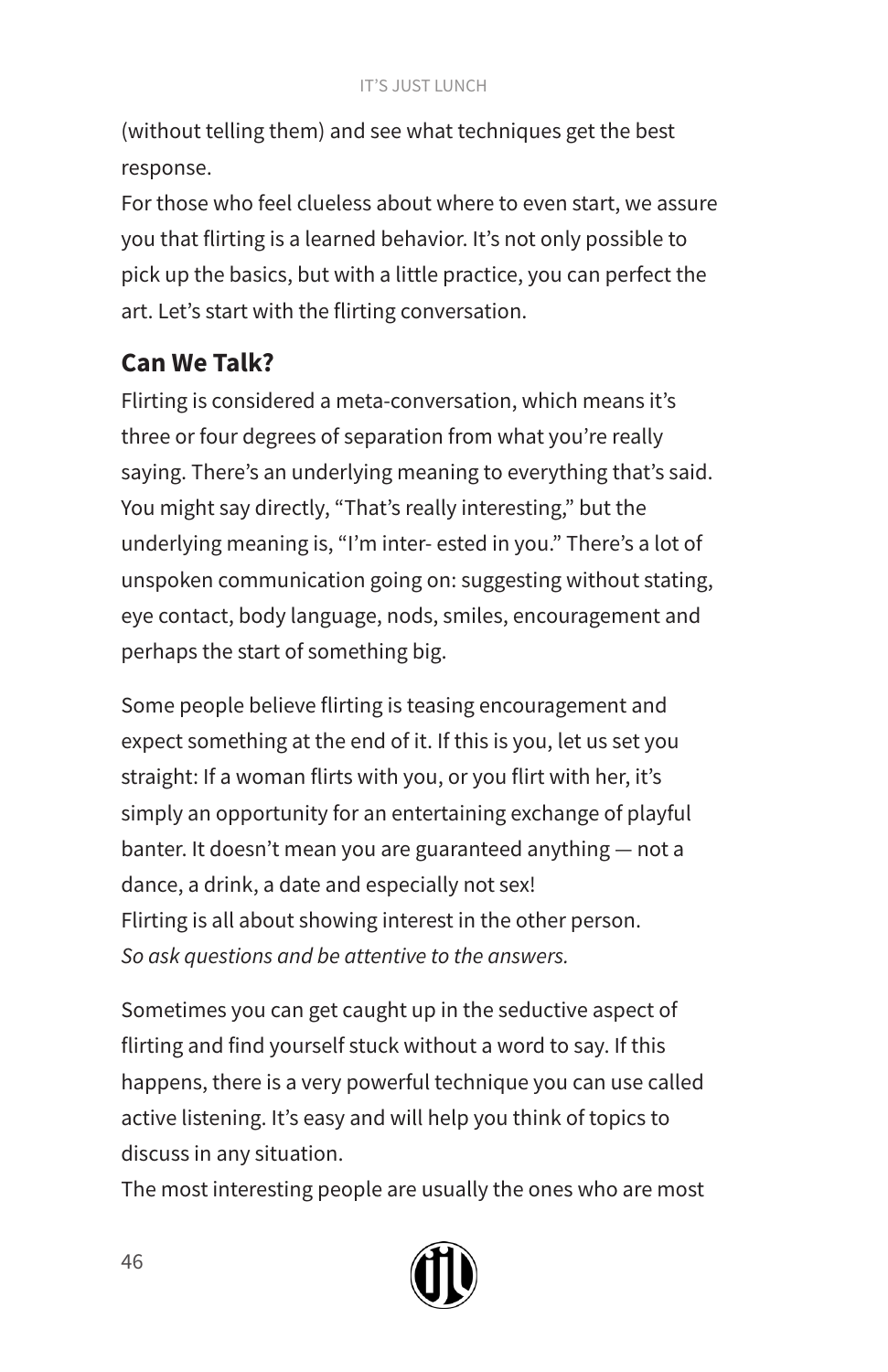(without telling them) and see what techniques get the best response.

For those who feel clueless about where to even start, we assure you that flirting is a learned behavior. It's not only possible to pick up the basics, but with a little practice, you can perfect the art. Let's start with the flirting conversation.

# **Can We Talk?**

Flirting is considered a meta-conversation, which means it's three or four degrees of separation from what you're really saying. There's an underlying meaning to everything that's said. You might say directly, "That's really interesting," but the underlying meaning is, "I'm inter- ested in you." There's a lot of unspoken communication going on: suggesting without stating, eye contact, body language, nods, smiles, encouragement and perhaps the start of something big.

Some people believe flirting is teasing encouragement and expect something at the end of it. If this is you, let us set you straight: If a woman flirts with you, or you flirt with her, it's simply an opportunity for an entertaining exchange of playful banter. It doesn't mean you are guaranteed anything — not a dance, a drink, a date and especially not sex! Flirting is all about showing interest in the other person. *So ask questions and be attentive to the answers.*

Sometimes you can get caught up in the seductive aspect of flirting and find yourself stuck without a word to say. If this happens, there is a very powerful technique you can use called active listening. It's easy and will help you think of topics to discuss in any situation.

The most interesting people are usually the ones who are most

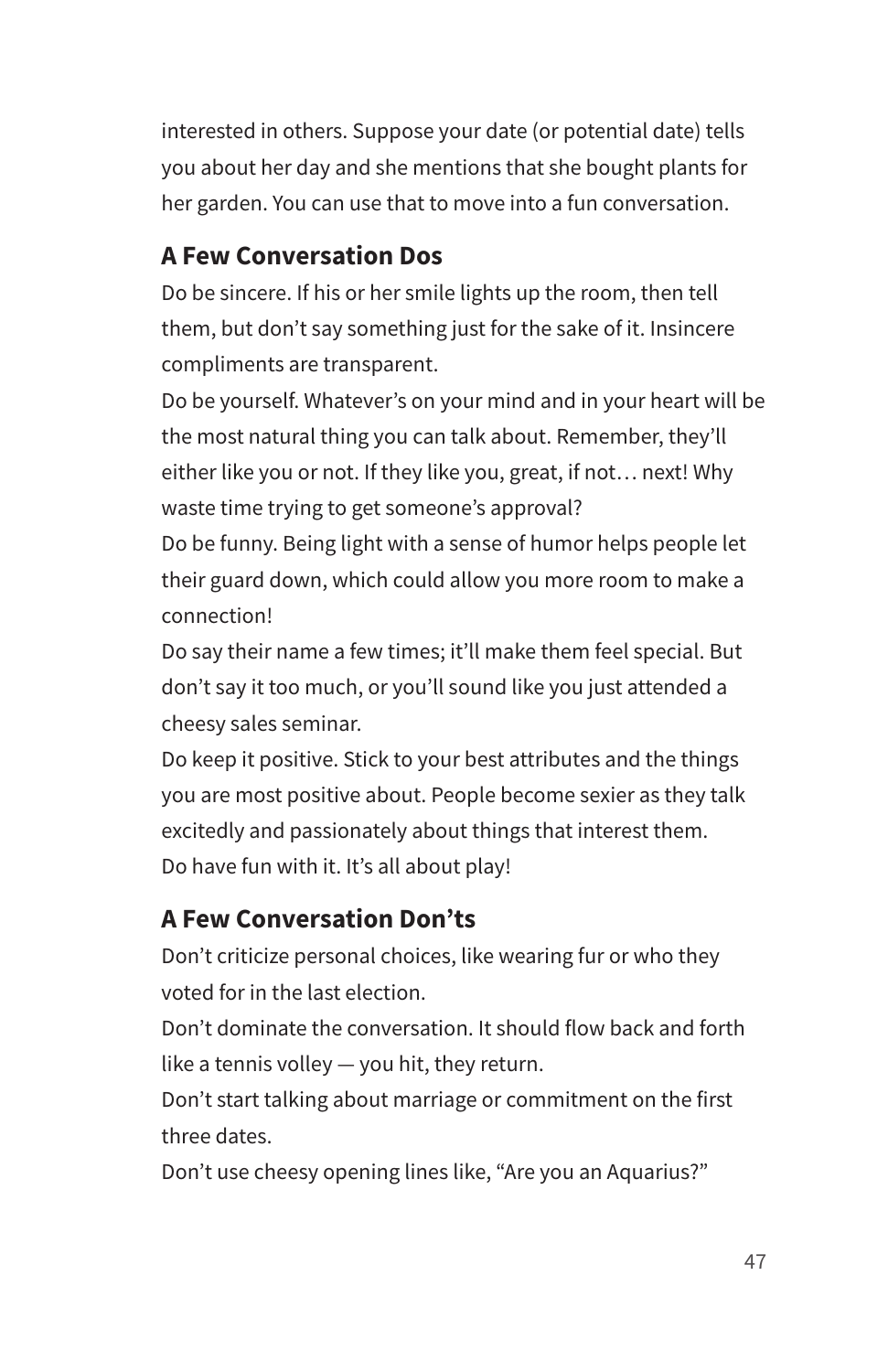interested in others. Suppose your date (or potential date) tells you about her day and she mentions that she bought plants for her garden. You can use that to move into a fun conversation.

# **A Few Conversation Dos**

Do be sincere. If his or her smile lights up the room, then tell them, but don't say something just for the sake of it. Insincere compliments are transparent.

Do be yourself. Whatever's on your mind and in your heart will be the most natural thing you can talk about. Remember, they'll either like you or not. If they like you, great, if not… next! Why waste time trying to get someone's approval?

Do be funny. Being light with a sense of humor helps people let their guard down, which could allow you more room to make a connection!

Do say their name a few times; it'll make them feel special. But don't say it too much, or you'll sound like you just attended a cheesy sales seminar.

Do keep it positive. Stick to your best attributes and the things you are most positive about. People become sexier as they talk excitedly and passionately about things that interest them. Do have fun with it. It's all about play!

# **A Few Conversation Don'ts**

Don't criticize personal choices, like wearing fur or who they voted for in the last election.

Don't dominate the conversation. It should flow back and forth like a tennis volley — you hit, they return.

Don't start talking about marriage or commitment on the first three dates.

Don't use cheesy opening lines like, "Are you an Aquarius?"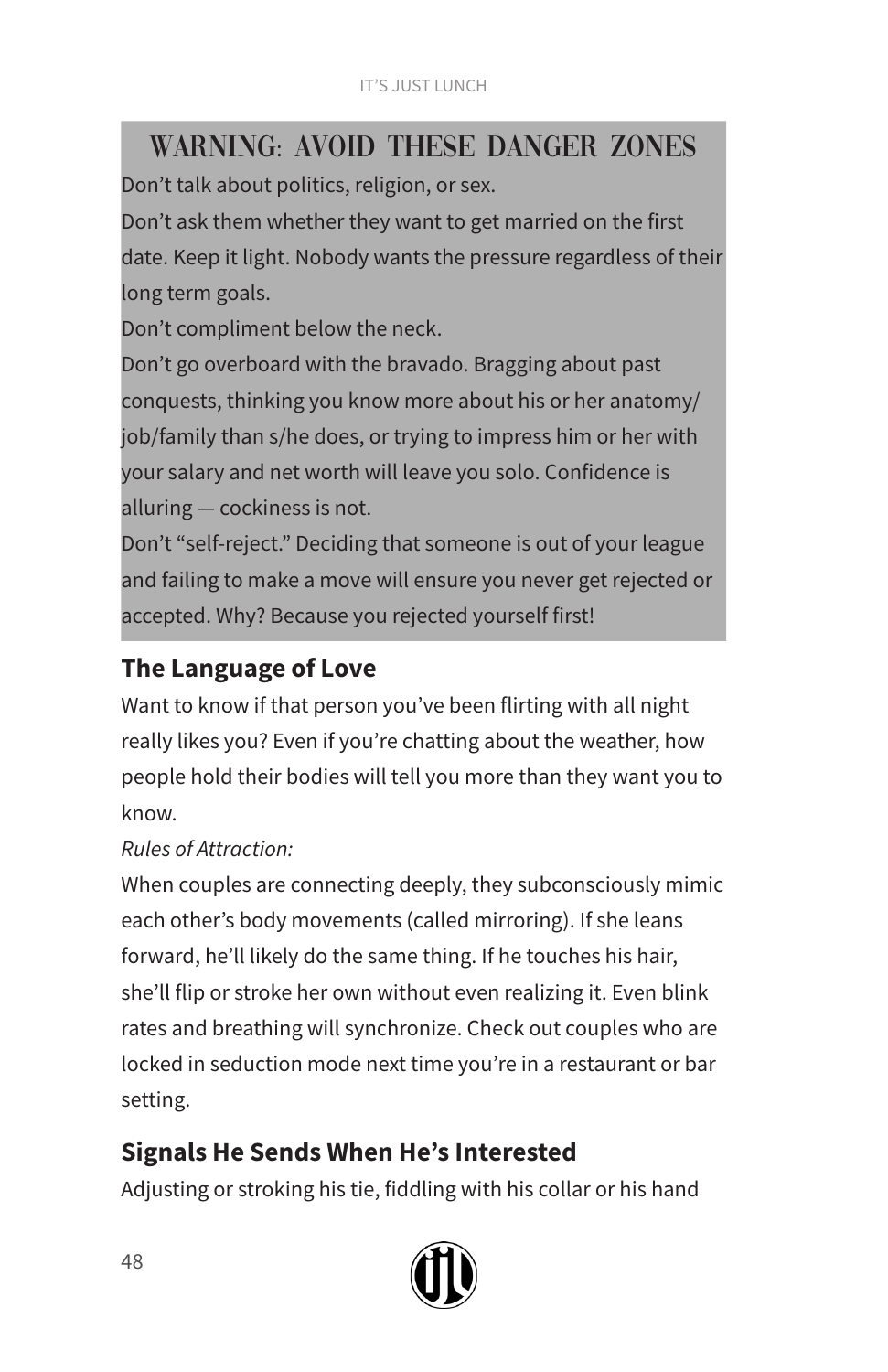# WARNING: AVOID THESE DANGER ZONES

Don't talk about politics, religion, or sex.

Don't ask them whether they want to get married on the first date. Keep it light. Nobody wants the pressure regardless of their long term goals.

Don't compliment below the neck.

Don't go overboard with the bravado. Bragging about past conquests, thinking you know more about his or her anatomy/ job/family than s/he does, or trying to impress him or her with your salary and net worth will leave you solo. Confidence is alluring — cockiness is not.

Don't "self-reject." Deciding that someone is out of your league and failing to make a move will ensure you never get rejected or accepted. Why? Because you rejected yourself first!

# **The Language of Love**

Want to know if that person you've been flirting with all night really likes you? Even if you're chatting about the weather, how people hold their bodies will tell you more than they want you to know.

### *Rules of Attraction:*

When couples are connecting deeply, they subconsciously mimic each other's body movements (called mirroring). If she leans forward, he'll likely do the same thing. If he touches his hair, she'll flip or stroke her own without even realizing it. Even blink rates and breathing will synchronize. Check out couples who are locked in seduction mode next time you're in a restaurant or bar setting.

# **Signals He Sends When He's Interested**

Adjusting or stroking his tie, fiddling with his collar or his hand

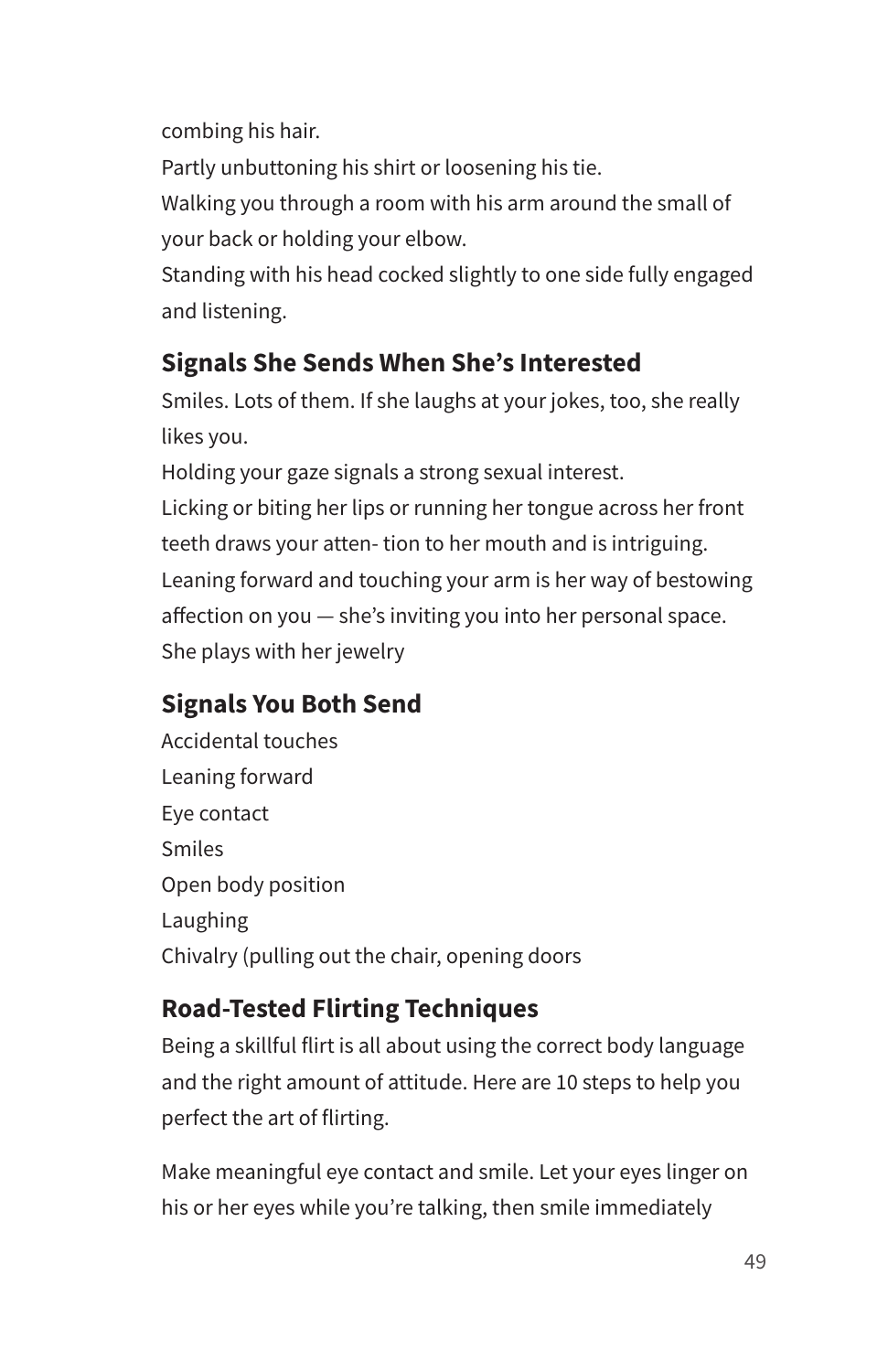combing his hair.

Partly unbuttoning his shirt or loosening his tie.

Walking you through a room with his arm around the small of your back or holding your elbow.

Standing with his head cocked slightly to one side fully engaged and listening.

# **Signals She Sends When She's Interested**

Smiles. Lots of them. If she laughs at your jokes, too, she really likes you.

Holding your gaze signals a strong sexual interest. Licking or biting her lips or running her tongue across her front teeth draws your atten- tion to her mouth and is intriguing. Leaning forward and touching your arm is her way of bestowing affection on you — she's inviting you into her personal space. She plays with her jewelry

# **Signals You Both Send**

Accidental touches Leaning forward Eye contact Smiles Open body position Laughing Chivalry (pulling out the chair, opening doors

# **Road-Tested Flirting Techniques**

Being a skillful flirt is all about using the correct body language and the right amount of attitude. Here are 10 steps to help you perfect the art of flirting.

Make meaningful eye contact and smile. Let your eyes linger on his or her eyes while you're talking, then smile immediately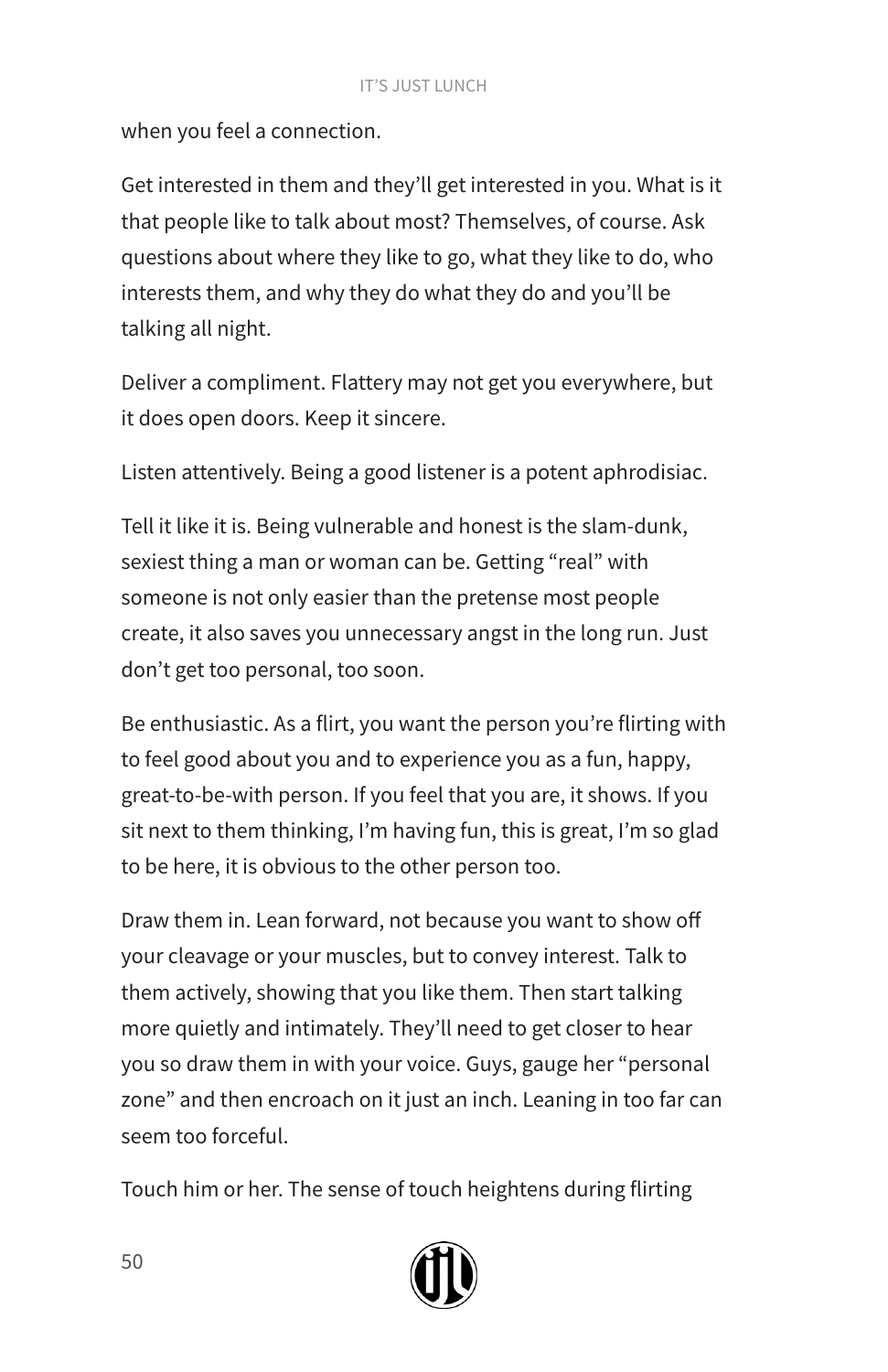when you feel a connection.

Get interested in them and they'll get interested in you. What is it that people like to talk about most? Themselves, of course. Ask questions about where they like to go, what they like to do, who interests them, and why they do what they do and you'll be talking all night.

Deliver a compliment. Flattery may not get you everywhere, but it does open doors. Keep it sincere.

Listen attentively. Being a good listener is a potent aphrodisiac.

Tell it like it is. Being vulnerable and honest is the slam-dunk, sexiest thing a man or woman can be. Getting "real" with someone is not only easier than the pretense most people create, it also saves you unnecessary angst in the long run. Just don't get too personal, too soon.

Be enthusiastic. As a flirt, you want the person you're flirting with to feel good about you and to experience you as a fun, happy, great-to-be-with person. If you feel that you are, it shows. If you sit next to them thinking, I'm having fun, this is great, I'm so glad to be here, it is obvious to the other person too.

Draw them in. Lean forward, not because you want to show off your cleavage or your muscles, but to convey interest. Talk to them actively, showing that you like them. Then start talking more quietly and intimately. They'll need to get closer to hear you so draw them in with your voice. Guys, gauge her "personal zone" and then encroach on it just an inch. Leaning in too far can seem too forceful.

Touch him or her. The sense of touch heightens during flirting

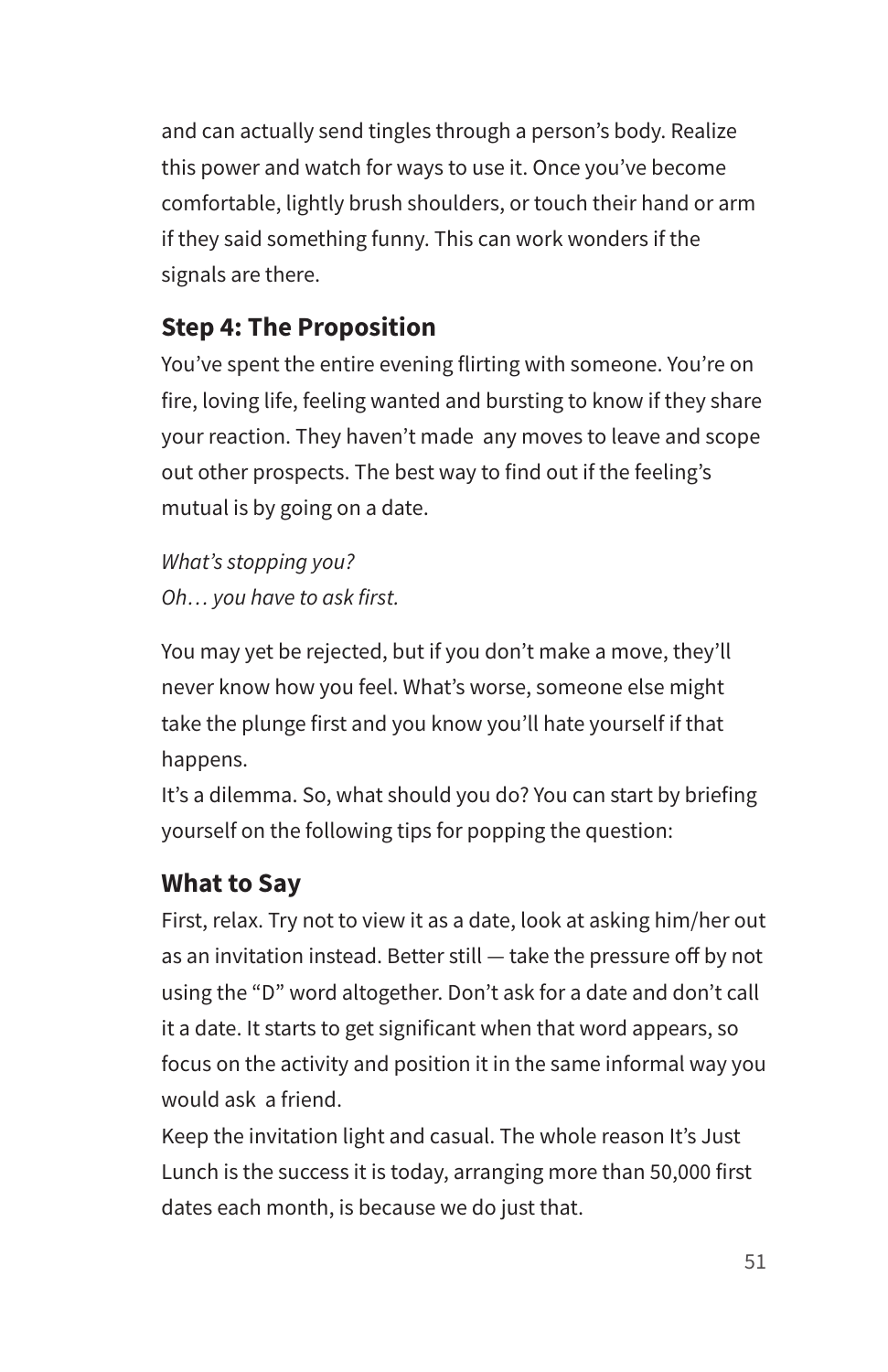and can actually send tingles through a person's body. Realize this power and watch for ways to use it. Once you've become comfortable, lightly brush shoulders, or touch their hand or arm if they said something funny. This can work wonders if the signals are there.

# **Step 4: The Proposition**

You've spent the entire evening flirting with someone. You're on fire, loving life, feeling wanted and bursting to know if they share your reaction. They haven't made any moves to leave and scope out other prospects. The best way to find out if the feeling's mutual is by going on a date.

*What's stopping you? Oh… you have to ask first.*

You may yet be rejected, but if you don't make a move, they'll never know how you feel. What's worse, someone else might take the plunge first and you know you'll hate yourself if that happens.

It's a dilemma. So, what should you do? You can start by briefing yourself on the following tips for popping the question:

# **What to Say**

First, relax. Try not to view it as a date, look at asking him/her out as an invitation instead. Better still — take the pressure off by not using the "D" word altogether. Don't ask for a date and don't call it a date. It starts to get significant when that word appears, so focus on the activity and position it in the same informal way you would ask a friend.

Keep the invitation light and casual. The whole reason It's Just Lunch is the success it is today, arranging more than 50,000 first dates each month, is because we do just that.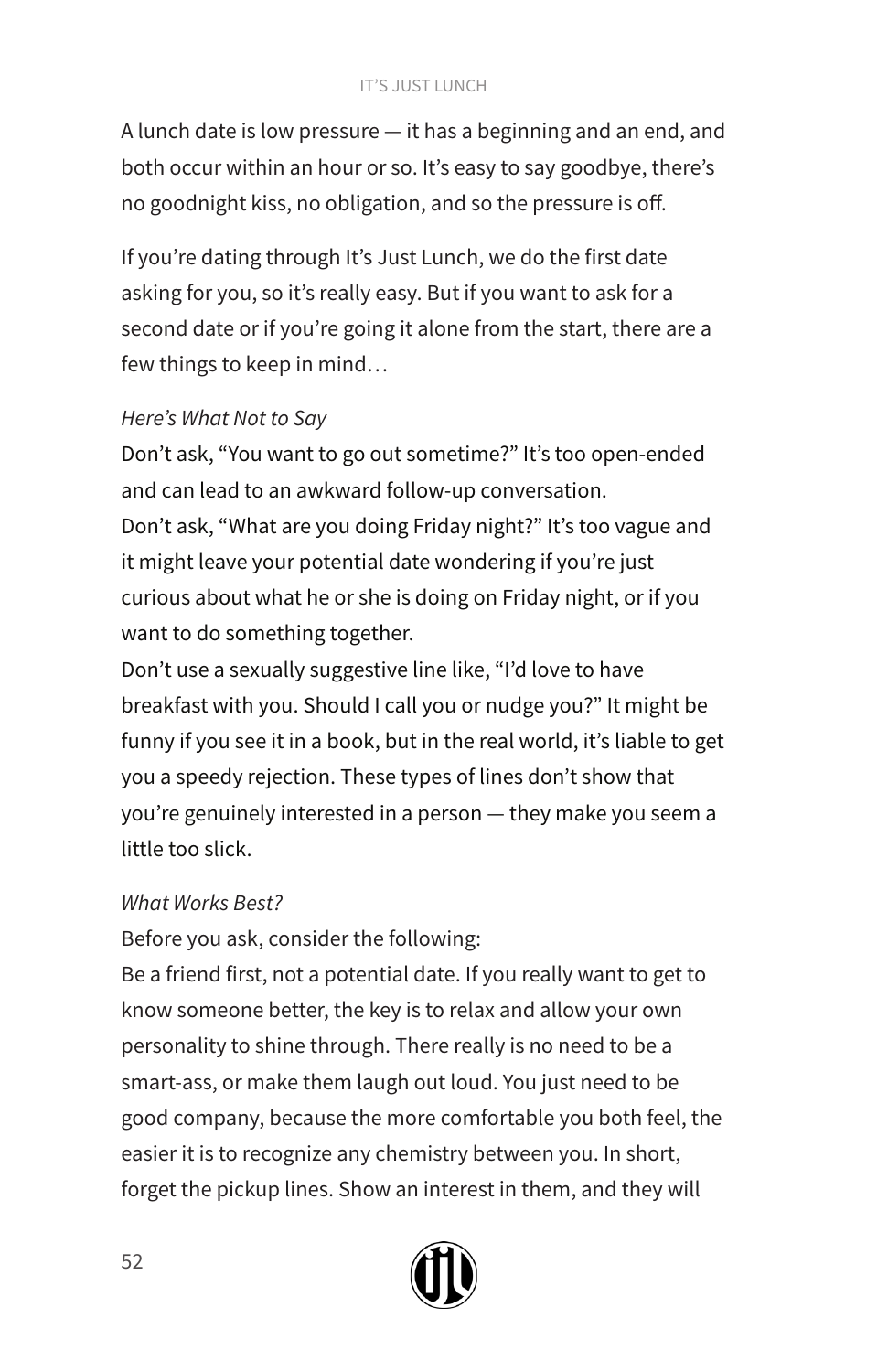A lunch date is low pressure — it has a beginning and an end, and both occur within an hour or so. It's easy to say goodbye, there's no goodnight kiss, no obligation, and so the pressure is off.

If you're dating through It's Just Lunch, we do the first date asking for you, so it's really easy. But if you want to ask for a second date or if you're going it alone from the start, there are a few things to keep in mind…

### *Here's What Not to Say*

Don't ask, "You want to go out sometime?" It's too open-ended and can lead to an awkward follow-up conversation. Don't ask, "What are you doing Friday night?" It's too vague and it might leave your potential date wondering if you're just curious about what he or she is doing on Friday night, or if you want to do something together.

Don't use a sexually suggestive line like, "I'd love to have breakfast with you. Should I call you or nudge you?" It might be funny if you see it in a book, but in the real world, it's liable to get you a speedy rejection. These types of lines don't show that you're genuinely interested in a person — they make you seem a little too slick.

### *What Works Best?*

Before you ask, consider the following:

Be a friend first, not a potential date. If you really want to get to know someone better, the key is to relax and allow your own personality to shine through. There really is no need to be a smart-ass, or make them laugh out loud. You just need to be good company, because the more comfortable you both feel, the easier it is to recognize any chemistry between you. In short, forget the pickup lines. Show an interest in them, and they will

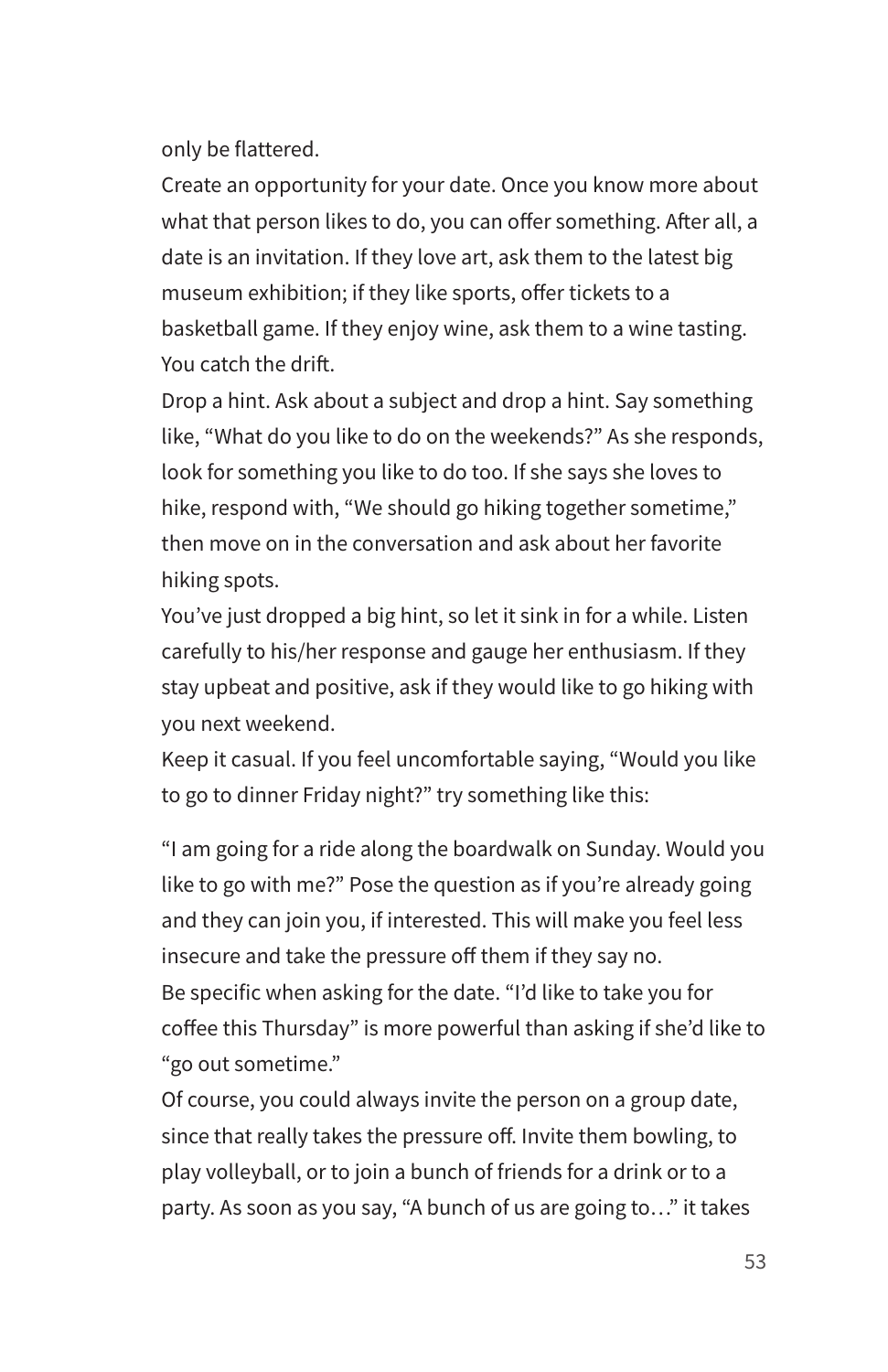only be flattered.

Create an opportunity for your date. Once you know more about what that person likes to do, you can offer something. After all, a date is an invitation. If they love art, ask them to the latest big museum exhibition; if they like sports, offer tickets to a basketball game. If they enjoy wine, ask them to a wine tasting. You catch the drift.

Drop a hint. Ask about a subject and drop a hint. Say something like, "What do you like to do on the weekends?" As she responds, look for something you like to do too. If she says she loves to hike, respond with, "We should go hiking together sometime," then move on in the conversation and ask about her favorite hiking spots.

You've just dropped a big hint, so let it sink in for a while. Listen carefully to his/her response and gauge her enthusiasm. If they stay upbeat and positive, ask if they would like to go hiking with you next weekend.

Keep it casual. If you feel uncomfortable saying, "Would you like to go to dinner Friday night?" try something like this:

"I am going for a ride along the boardwalk on Sunday. Would you like to go with me?" Pose the question as if you're already going and they can join you, if interested. This will make you feel less insecure and take the pressure off them if they say no.

Be specific when asking for the date. "I'd like to take you for coffee this Thursday" is more powerful than asking if she'd like to "go out sometime."

Of course, you could always invite the person on a group date, since that really takes the pressure off. Invite them bowling, to play volleyball, or to join a bunch of friends for a drink or to a party. As soon as you say, "A bunch of us are going to…" it takes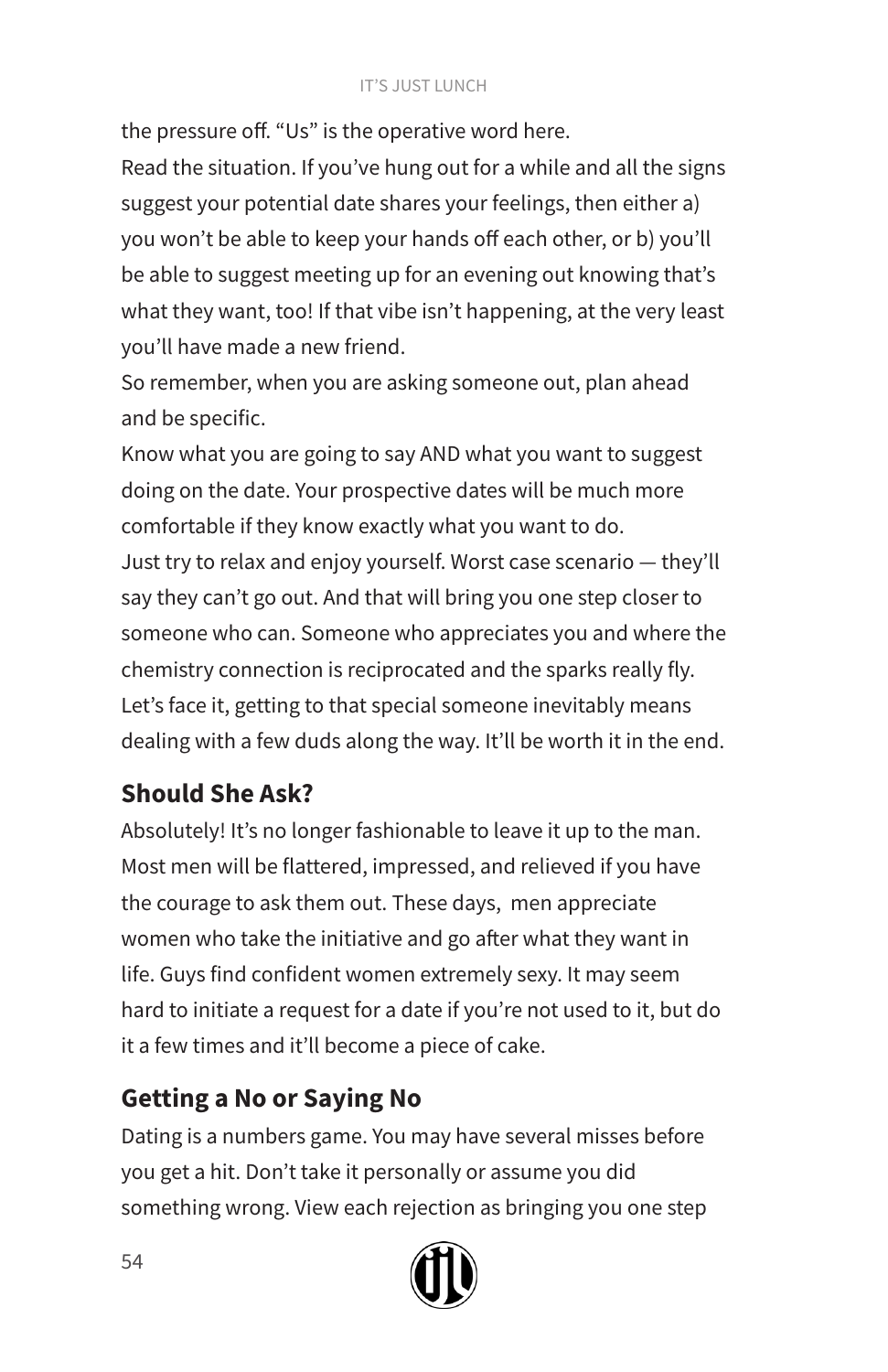the pressure off. "Us" is the operative word here.

Read the situation. If you've hung out for a while and all the signs suggest your potential date shares your feelings, then either a) you won't be able to keep your hands off each other, or b) you'll be able to suggest meeting up for an evening out knowing that's what they want, too! If that vibe isn't happening, at the very least you'll have made a new friend.

So remember, when you are asking someone out, plan ahead and be specific.

Know what you are going to say AND what you want to suggest doing on the date. Your prospective dates will be much more comfortable if they know exactly what you want to do.

Just try to relax and enjoy yourself. Worst case scenario — they'll say they can't go out. And that will bring you one step closer to someone who can. Someone who appreciates you and where the chemistry connection is reciprocated and the sparks really fly. Let's face it, getting to that special someone inevitably means dealing with a few duds along the way. It'll be worth it in the end.

# **Should She Ask?**

Absolutely! It's no longer fashionable to leave it up to the man. Most men will be flattered, impressed, and relieved if you have the courage to ask them out. These days, men appreciate women who take the initiative and go after what they want in life. Guys find confident women extremely sexy. It may seem hard to initiate a request for a date if you're not used to it, but do it a few times and it'll become a piece of cake.

# **Getting a No or Saying No**

Dating is a numbers game. You may have several misses before you get a hit. Don't take it personally or assume you did something wrong. View each rejection as bringing you one step